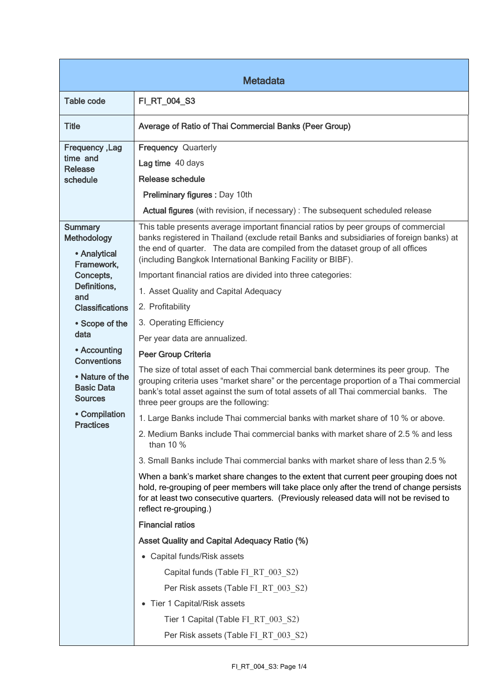| <b>Metadata</b>                                                                                                                  |                                                                                                                                                                                                                                                                                                                                                                                                    |  |
|----------------------------------------------------------------------------------------------------------------------------------|----------------------------------------------------------------------------------------------------------------------------------------------------------------------------------------------------------------------------------------------------------------------------------------------------------------------------------------------------------------------------------------------------|--|
| <b>Table code</b>                                                                                                                | FI_RT_004_S3                                                                                                                                                                                                                                                                                                                                                                                       |  |
| <b>Title</b>                                                                                                                     | Average of Ratio of Thai Commercial Banks (Peer Group)                                                                                                                                                                                                                                                                                                                                             |  |
| Frequency, Lag<br>time and<br><b>Release</b><br>schedule                                                                         | <b>Frequency Quarterly</b><br>Lag time 40 days<br>Release schedule<br>Preliminary figures : Day 10th<br>Actual figures (with revision, if necessary) : The subsequent scheduled release                                                                                                                                                                                                            |  |
| <b>Summary</b><br><b>Methodology</b><br>• Analytical<br>Framework,<br>Concepts,<br>Definitions,<br>and<br><b>Classifications</b> | This table presents average important financial ratios by peer groups of commercial<br>banks registered in Thailand (exclude retail Banks and subsidiaries of foreign banks) at<br>the end of quarter. The data are compiled from the dataset group of all offices<br>(including Bangkok International Banking Facility or BIBF).<br>Important financial ratios are divided into three categories: |  |
|                                                                                                                                  | 1. Asset Quality and Capital Adequacy<br>2. Profitability                                                                                                                                                                                                                                                                                                                                          |  |
| • Scope of the<br>data<br>• Accounting                                                                                           | 3. Operating Efficiency<br>Per year data are annualized.<br><b>Peer Group Criteria</b>                                                                                                                                                                                                                                                                                                             |  |
| <b>Conventions</b><br>• Nature of the<br><b>Basic Data</b><br><b>Sources</b>                                                     | The size of total asset of each Thai commercial bank determines its peer group. The<br>grouping criteria uses "market share" or the percentage proportion of a Thai commercial<br>bank's total asset against the sum of total assets of all Thai commercial banks. The<br>three peer groups are the following:                                                                                     |  |
| • Compilation<br><b>Practices</b>                                                                                                | 1. Large Banks include Thai commercial banks with market share of 10 % or above.<br>2. Medium Banks include Thai commercial banks with market share of 2.5 % and less<br>than $10\%$                                                                                                                                                                                                               |  |
|                                                                                                                                  | 3. Small Banks include Thai commercial banks with market share of less than 2.5 %<br>When a bank's market share changes to the extent that current peer grouping does not<br>hold, re-grouping of peer members will take place only after the trend of change persists<br>for at least two consecutive quarters. (Previously released data will not be revised to<br>reflect re-grouping.)         |  |
|                                                                                                                                  | <b>Financial ratios</b><br><b>Asset Quality and Capital Adequacy Ratio (%)</b>                                                                                                                                                                                                                                                                                                                     |  |
|                                                                                                                                  | • Capital funds/Risk assets<br>Capital funds (Table FI RT 003 S2)<br>Per Risk assets (Table FI RT 003 S2)<br>• Tier 1 Capital/Risk assets<br>Tier 1 Capital (Table FI_RT_003_S2)<br>Per Risk assets (Table FI_RT_003_S2)                                                                                                                                                                           |  |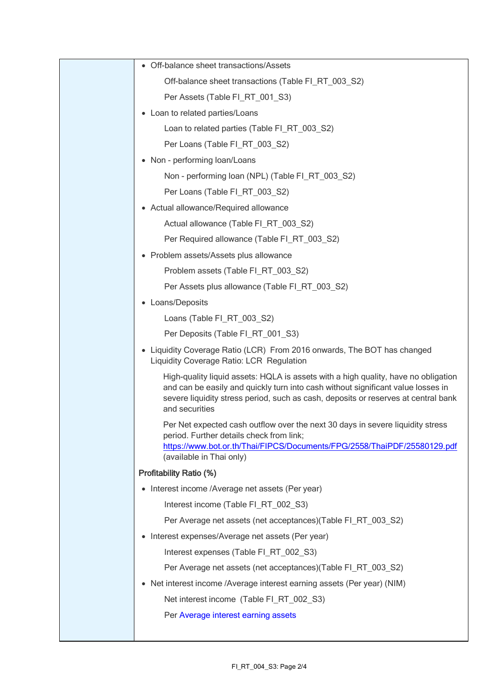| • Off-balance sheet transactions/Assets                                                                                                                                                                                                                                        |
|--------------------------------------------------------------------------------------------------------------------------------------------------------------------------------------------------------------------------------------------------------------------------------|
| Off-balance sheet transactions (Table FI_RT_003_S2)                                                                                                                                                                                                                            |
| Per Assets (Table FI_RT_001_S3)                                                                                                                                                                                                                                                |
| • Loan to related parties/Loans                                                                                                                                                                                                                                                |
| Loan to related parties (Table FI_RT_003_S2)                                                                                                                                                                                                                                   |
| Per Loans (Table FI_RT_003_S2)                                                                                                                                                                                                                                                 |
| • Non - performing loan/Loans                                                                                                                                                                                                                                                  |
| Non - performing loan (NPL) (Table FI RT 003 S2)                                                                                                                                                                                                                               |
| Per Loans (Table FI_RT_003_S2)                                                                                                                                                                                                                                                 |
| • Actual allowance/Required allowance                                                                                                                                                                                                                                          |
| Actual allowance (Table FI RT 003 S2)                                                                                                                                                                                                                                          |
| Per Required allowance (Table FI_RT_003_S2)                                                                                                                                                                                                                                    |
| • Problem assets/Assets plus allowance                                                                                                                                                                                                                                         |
| Problem assets (Table FI_RT_003_S2)                                                                                                                                                                                                                                            |
| Per Assets plus allowance (Table FI_RT_003_S2)                                                                                                                                                                                                                                 |
| • Loans/Deposits                                                                                                                                                                                                                                                               |
| Loans (Table FI_RT_003_S2)                                                                                                                                                                                                                                                     |
| Per Deposits (Table FI_RT_001_S3)                                                                                                                                                                                                                                              |
| • Liquidity Coverage Ratio (LCR) From 2016 onwards, The BOT has changed<br>Liquidity Coverage Ratio: LCR Regulation                                                                                                                                                            |
| High-quality liquid assets: HQLA is assets with a high quality, have no obligation<br>and can be easily and quickly turn into cash without significant value losses in<br>severe liquidity stress period, such as cash, deposits or reserves at central bank<br>and securities |
| Per Net expected cash outflow over the next 30 days in severe liquidity stress<br>period. Further details check from link;<br>https://www.bot.or.th/Thai/FIPCS/Documents/FPG/2558/ThaiPDF/25580129.pdf<br>(available in Thai only)                                             |
| Profitability Ratio (%)                                                                                                                                                                                                                                                        |
| • Interest income /Average net assets (Per year)                                                                                                                                                                                                                               |
| Interest income (Table FI_RT_002_S3)                                                                                                                                                                                                                                           |
| Per Average net assets (net acceptances) (Table FI RT 003 S2)                                                                                                                                                                                                                  |
| • Interest expenses/Average net assets (Per year)                                                                                                                                                                                                                              |
| Interest expenses (Table FI_RT_002_S3)                                                                                                                                                                                                                                         |
| Per Average net assets (net acceptances)(Table FI_RT_003_S2)                                                                                                                                                                                                                   |
| • Net interest income / Average interest earning assets (Per year) (NIM)                                                                                                                                                                                                       |
| Net interest income (Table FI_RT_002_S3)                                                                                                                                                                                                                                       |
| Per Average interest earning assets                                                                                                                                                                                                                                            |
|                                                                                                                                                                                                                                                                                |
|                                                                                                                                                                                                                                                                                |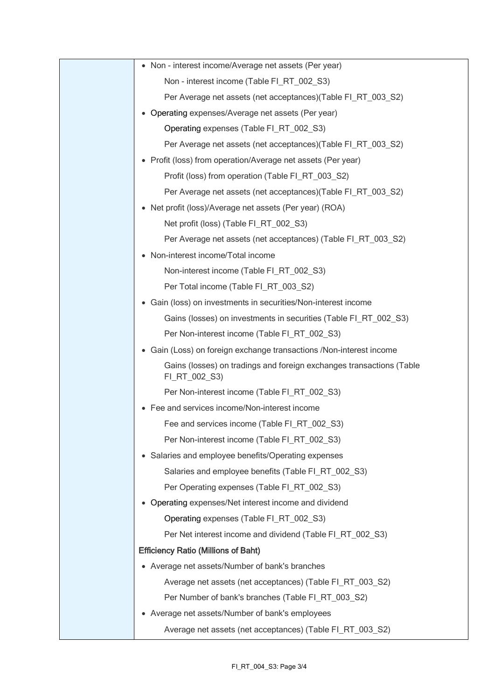| • Non - interest income/Average net assets (Per year)                                 |
|---------------------------------------------------------------------------------------|
| Non - interest income (Table FI_RT_002_S3)                                            |
| Per Average net assets (net acceptances) (Table FI_RT_003_S2)                         |
| • Operating expenses/Average net assets (Per year)                                    |
| Operating expenses (Table FI_RT_002_S3)                                               |
| Per Average net assets (net acceptances) (Table FI_RT_003_S2)                         |
| • Profit (loss) from operation/Average net assets (Per year)                          |
| Profit (loss) from operation (Table FI_RT_003_S2)                                     |
| Per Average net assets (net acceptances) (Table FI_RT_003_S2)                         |
| • Net profit (loss)/Average net assets (Per year) (ROA)                               |
| Net profit (loss) (Table FI_RT_002_S3)                                                |
| Per Average net assets (net acceptances) (Table FI_RT_003_S2)                         |
| • Non-interest income/Total income                                                    |
| Non-interest income (Table FI_RT_002_S3)                                              |
| Per Total income (Table FI_RT_003_S2)                                                 |
| • Gain (loss) on investments in securities/Non-interest income                        |
| Gains (losses) on investments in securities (Table FI_RT_002_S3)                      |
| Per Non-interest income (Table FI_RT_002_S3)                                          |
| Gain (Loss) on foreign exchange transactions /Non-interest income                     |
| Gains (losses) on tradings and foreign exchanges transactions (Table<br>FI_RT_002_S3) |
| Per Non-interest income (Table FI_RT_002_S3)                                          |
| • Fee and services income/Non-interest income                                         |
| Fee and services income (Table FI_RT_002_S3)                                          |
| Per Non-interest income (Table FI RT 002 S3)                                          |
| • Salaries and employee benefits/Operating expenses                                   |
| Salaries and employee benefits (Table FI_RT_002_S3)                                   |
| Per Operating expenses (Table FI_RT_002_S3)                                           |
| • Operating expenses/Net interest income and dividend                                 |
| Operating expenses (Table FI_RT_002_S3)                                               |
| Per Net interest income and dividend (Table FI_RT_002_S3)                             |
| <b>Efficiency Ratio (Millions of Baht)</b>                                            |
| • Average net assets/Number of bank's branches                                        |
| Average net assets (net acceptances) (Table FI_RT_003_S2)                             |
| Per Number of bank's branches (Table FI_RT_003_S2)                                    |
| • Average net assets/Number of bank's employees                                       |
| Average net assets (net acceptances) (Table FI_RT_003_S2)                             |